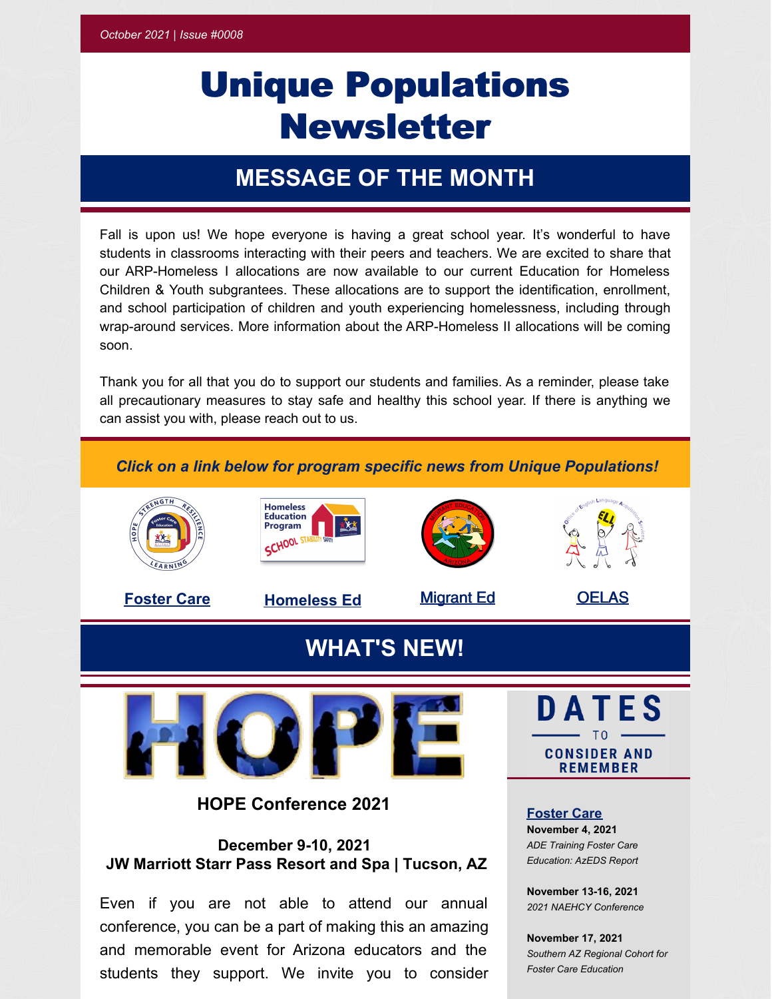# Unique Populations **Newsletter**

## **MESSAGE OF THE MONTH**

Fall is upon us! We hope everyone is having a great school year. It's wonderful to have students in classrooms interacting with their peers and teachers. We are excited to share that our ARP-Homeless I allocations are now available to our current Education for Homeless Children & Youth subgrantees. These allocations are to support the identification, enrollment, and school participation of children and youth experiencing homelessness, including through wrap-around services. More information about the ARP-Homeless II allocations will be coming soon.

Thank you for all that you do to support our students and families. As a reminder, please take all precautionary measures to stay safe and healthy this school year. If there is anything we can assist you with, please reach out to us.

#### *Click on a link below for program specific news from Unique Populations!*

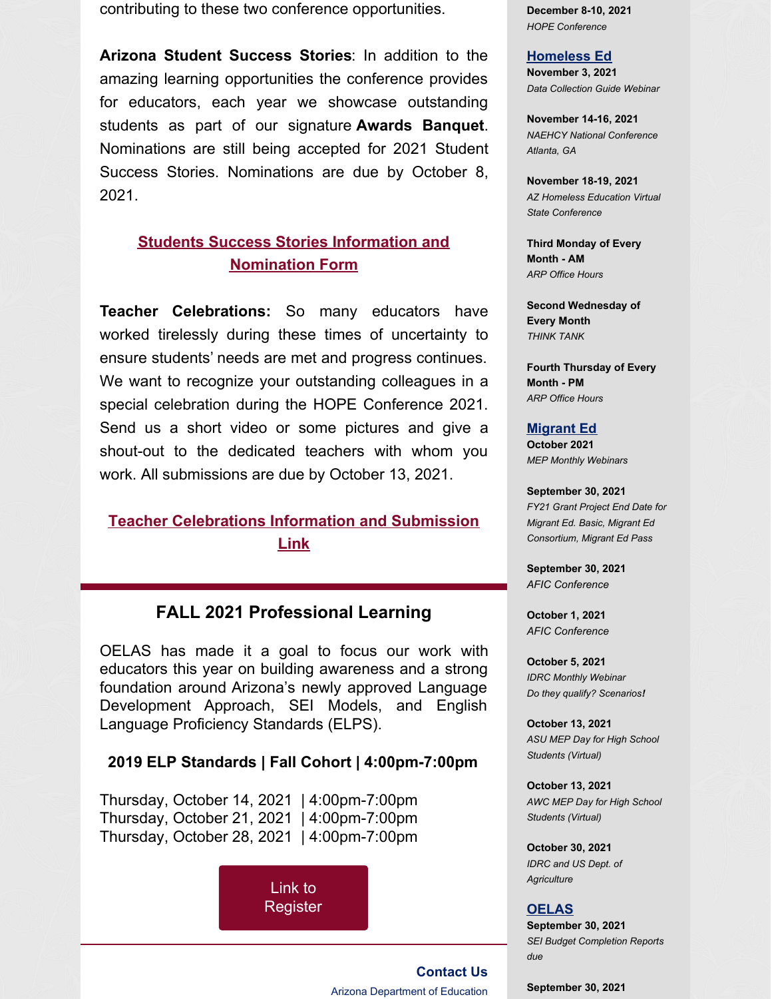contributing to these two conference opportunities.

**Arizona Student Success Stories**: In addition to the amazing learning opportunities the conference provides for educators, each year we showcase outstanding students as part of our signature **Awards Banquet**. Nominations are still being accepted for 2021 Student Success Stories. Nominations are due by October 8, 2021.

## **Students Success Stories Information and [Nomination](https://www.azed.gov/ArizonaStudentSuccessStories) Form**

**Teacher Celebrations:** So many educators have worked tirelessly during these times of uncertainty to ensure students' needs are met and progress continues. We want to recognize your outstanding colleagues in a special celebration during the HOPE Conference 2021. Send us a short video or some pictures and give a shout-out to the dedicated teachers with whom you work. All submissions are due by October 13, 2021.

## **Teacher [Celebrations](https://www.azed.gov/ArizonaEducatorCelebrations) Information and Submission Link**

## **FALL 2021 Professional Learning**

OELAS has made it a goal to focus our work with educators this year on building awareness and a strong foundation around Arizona's newly approved Language Development Approach, SEI Models, and English Language Proficiency Standards (ELPS).

#### **2019 ELP Standards | Fall Cohort | 4:00pm-7:00pm**

Thursday, October 14, 2021 | 4:00pm-7:00pm Thursday, October 21, 2021 | 4:00pm-7:00pm Thursday, October 28, 2021 | 4:00pm-7:00pm

> Link to [Register](https://ems.azed.gov/Home/Calendar?sd=8795)

**December 8-10, 2021** *HOPE Conference*

### **Homeless Ed**

**November 3, 2021** *Data Collection Guide Webinar*

**November 14-16, 2021** *NAEHCY National Conference Atlanta, GA*

**November 18-19, 2021** *AZ Homeless Education Virtual State Conference*

**Third Monday of Every Month - AM** *ARP Office Hours*

**Second Wednesday of Every Month** *THINK TANK*

**Fourth Thursday of Every Month - PM** *ARP Office Hours*

#### **Migrant Ed**

**October 2021** *MEP Monthly Webinars*

**September 30, 2021** *FY21 Grant Project End Date for Migrant Ed. Basic, Migrant Ed Consortium, Migrant Ed Pass*

**September 30, 2021** *AFIC Conference*

**October 1, 2021** *AFIC Conference*

**October 5, 2021** *IDRC Monthly Webinar Do they qualify? Scenarios!*

**October 13, 2021** *ASU MEP Day for High School Students (Virtual)*

**October 13, 2021** *AWC MEP Day for High School Students (Virtual)*

**October 30, 2021** *IDRC and US Dept. of Agriculture*

#### **OELAS**

**September 30, 2021** *SEI Budget Completion Reports due*

**September 30, 2021**

**[Contact](mailto:OELAS@azed.gov) Us**

Arizona Department of Education